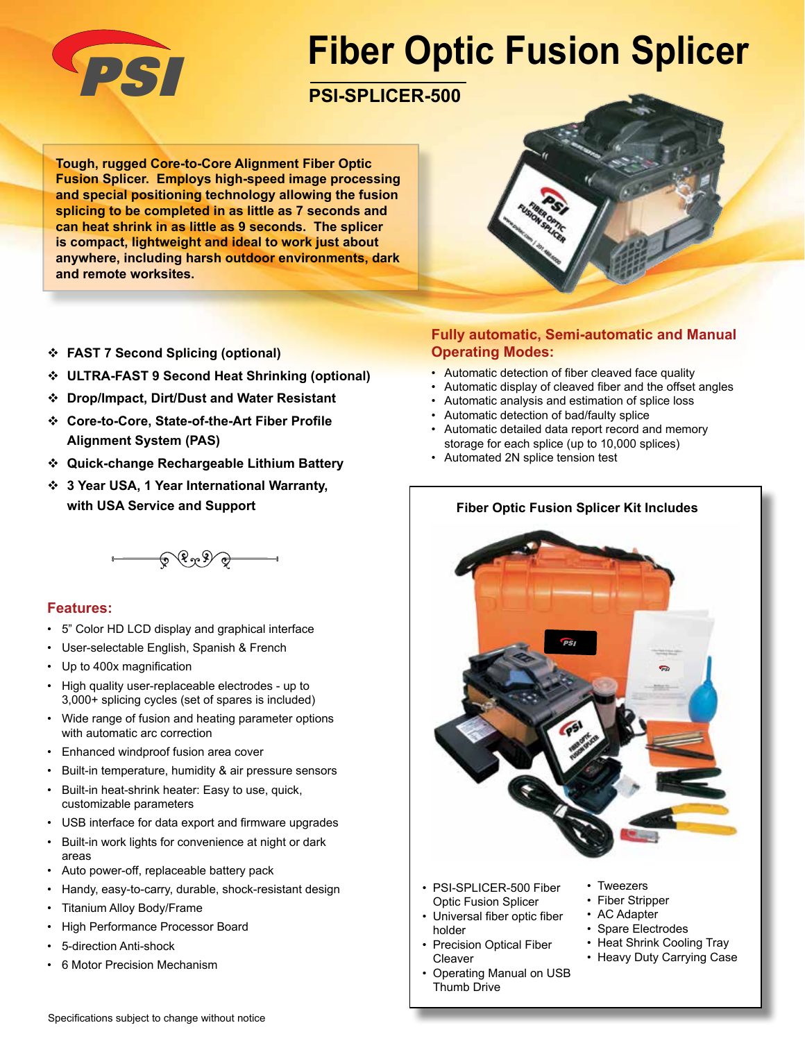

# **Fiber Optic Fusion Splicer**

## PSI **PSI-SPLICER-500**

**Tough, rugged Core-to-Core Alignment Fiber Optic Fusion Splicer. Employs high-speed image processing and special positioning technology allowing the fusion splicing to be completed in as little as 7 seconds and can heat shrink in as little as 9 seconds. The splicer is compact, lightweight and ideal to work just about anywhere, including harsh outdoor environments, dark and remote worksites.**



- **ULTRA-FAST 9 Second Heat Shrinking (optional)**
- **Drop/Impact, Dirt/Dust and Water Resistant**
- **Core-to-Core, State-of-the-Art Fiber Profile Alignment System (PAS)**
- **Quick-change Rechargeable Lithium Battery**
- **3 Year USA, 1 Year International Warranty, with USA Service and Support**

 $- 6999$ 

#### **Features:**

- 5" Color HD LCD display and graphical interface
- User-selectable English, Spanish & French
- Up to 400x magnification
- High quality user-replaceable electrodes up to 3,000+ splicing cycles (set of spares is included)
- Wide range of fusion and heating parameter options with automatic arc correction
- Enhanced windproof fusion area cover
- Built-in temperature, humidity & air pressure sensors
- Built-in heat-shrink heater: Easy to use, quick, customizable parameters
- USB interface for data export and firmware upgrades
- Built-in work lights for convenience at night or dark areas
- Auto power-off, replaceable battery pack
- Handy, easy-to-carry, durable, shock-resistant design
- Titanium Alloy Body/Frame
- High Performance Processor Board
- 5-direction Anti-shock
- 6 Motor Precision Mechanism

#### **Fully automatic, Semi-automatic and Manual Operating Modes:**

- Automatic detection of fiber cleaved face quality
- Automatic display of cleaved fiber and the offset angles
- Automatic analysis and estimation of splice loss
- Automatic detection of bad/faulty splice
- Automatic detailed data report record and memory storage for each splice (up to 10,000 splices)
- Automated 2N splice tension test

#### **Fiber Optic Fusion Splicer Kit Includes**



- PSI-SPLICER-500 Fiber Optic Fusion Splicer
- Universal fiber optic fiber holder
- **Precision Optical Fiber** Cleaver
- Operating Manual on USB Thumb Drive
- Tweezers
- Fiber Stripper
- AC Adapter
- Spare Electrodes
- Heat Shrink Cooling Tray
- Heavy Duty Carrying Case